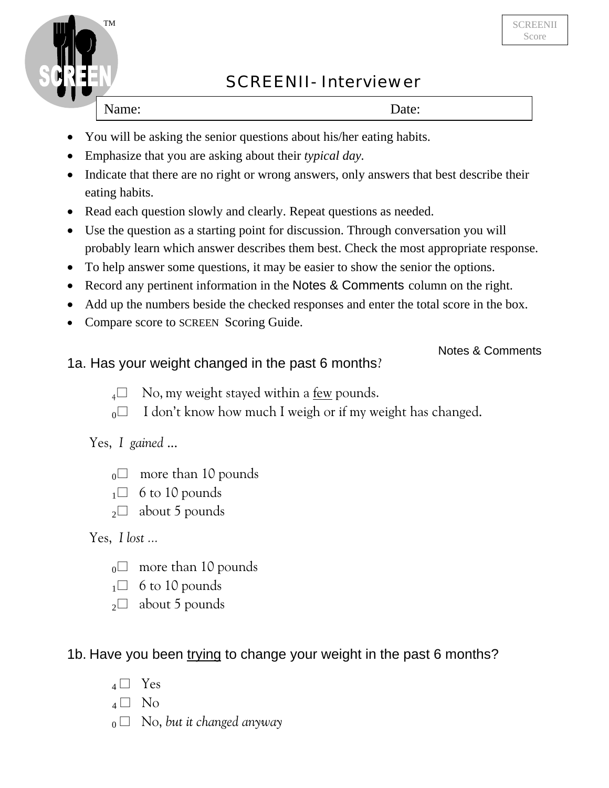

# SCREENII- Interviewer

Name: Date:

I

- You will be asking the senior questions about his/her eating habits.
- Emphasize that you are asking about their *typical day.*
- Indicate that there are no right or wrong answers, only answers that best describe their eating habits.
- Read each question slowly and clearly. Repeat questions as needed.
- Use the question as a starting point for discussion. Through conversation you will probably learn which answer describes them best. Check the most appropriate response.
- To help answer some questions, it may be easier to show the senior the options.
- Record any pertinent information in the Notes & Comments column on the right.
- Add up the numbers beside the checked responses and enter the total score in the box.
- Compare score to SCREEN Scoring Guide.

#### Notes & Comments

#### 1a. Has your weight changed in the past 6 months?

- $_4\Box$  No, my weight stayed within a <u>few</u> pounds.
- $_0$  I don't know how much I weigh or if my weight has changed.

## Yes, *I gained* ...

- $_0$  more than 10 pounds
- $1 \square$  6 to 10 pounds
- $_2\Box$  about 5 pounds

## Yes, *I lost ...*

- $_0$  more than 10 pounds
- $\Box$  6 to 10 pounds
- $_2\square$  about 5 pounds

## 1b. Have you been trying to change your weight in the past 6 months?

- $_4 \Box$  Yes
- $_4$   $\Box$  No
- $_0 \Box$  No, *but it changed anyway*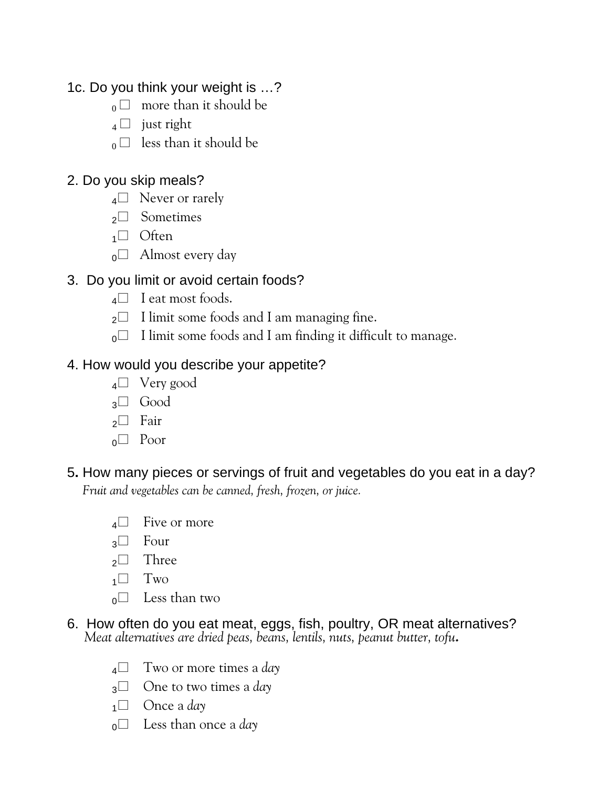# 1c. Do you think your weight is …?

- $_0$  more than it should be
- $_4$   $\Box$  just right
- $_0 \Box$  less than it should be

### 2. Do you skip meals?

- $_4\Box$  Never or rarely
- <sup>2</sup> Sometimes
- $1 \square$  Often
- $_0$  Almost every day

# 3. Do you limit or avoid certain foods?

- **4**□ I eat most foods.
- $_2\Box$  I limit some foods and I am managing fine.
- $_0$  I limit some foods and I am finding it difficult to manage.

# 4. How would you describe your appetite?

- <sup>4</sup> Very good
- <sup>3</sup> Good
- <sup>2</sup> Fair
- $_0$  Poor

## 5**.** How many pieces or servings of fruit and vegetables do you eat in a day? *Fruit and vegetables can be canned, fresh, frozen, or juice.*

- $4\Box$  Five or more
- $_3\Box$  Four
- $\sqrt{2}$  Three
- $1 \square$  Two
- $\circ$  Less than two
- 6. How often do you eat meat, eggs, fish, poultry, OR meat alternatives?  *Meat alternatives are dried peas, beans, lentils, nuts, peanut butter, tofu.*
	- <sup>4</sup> Two or more times a *day*
	- <sup>3</sup> One to two times a *day*
	- <sup>1</sup> Once a *day*
	- <sup>0</sup> Less than once a *day*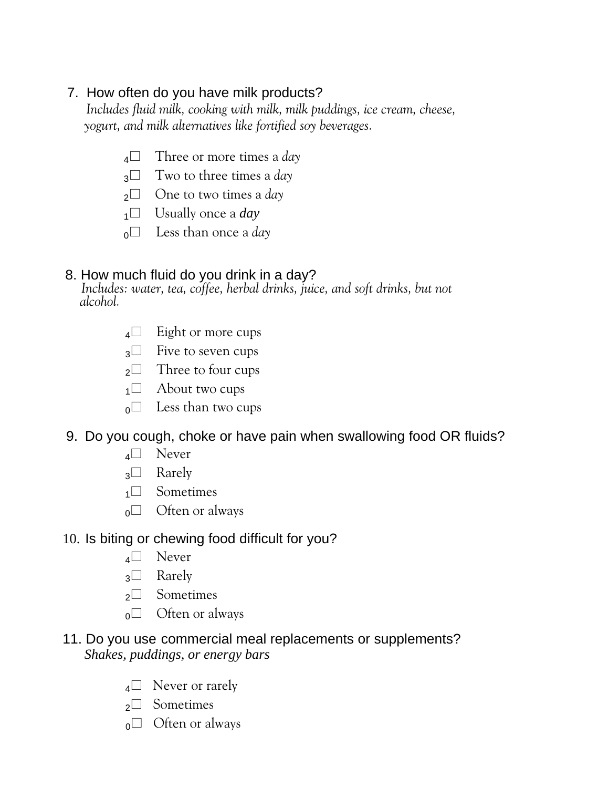# 7. How often do you have milk products?

 *Includes fluid milk, cooking with milk, milk puddings, ice cream, cheese, yogurt, and milk alternatives like fortified soy beverages.*

- <sup>4</sup> Three or more times a *day*
- <sup>3</sup> Two to three times a *day*
- <sup>2</sup> One to two times a *day*
- $1^\square$  Usually once a *day*
- $_0$  Less than once a *day*

#### 8. How much fluid do you drink in a day?

*Includes: water, tea, coffee, herbal drinks, juice, and soft drinks, but not alcohol.*

- <sup>4</sup> Eight or more cups
- 3<sup>1</sup> Five to seven cups
- <sup>2</sup> Three to four cups
- $1^\square$  About two cups
- $_0$  Less than two cups

#### 9. Do you cough, choke or have pain when swallowing food OR fluids?

- $_4\Box$  Never
- $_3\Box$  Rarely
- <sup>1</sup> Sometimes
- $_0$  Often or always

#### 10. Is biting or chewing food difficult for you?

- <sup>4</sup> Never
- <sup>3</sup> Rarely
- <sup>2</sup> Sometimes
- $_0$  Often or always

#### 11. Do you use commercial meal replacements or supplements?  *Shakes, puddings, or energy bars*

- $_4\Box$  Never or rarely
- <sup>2</sup> Sometimes
- $_0$  Often or always